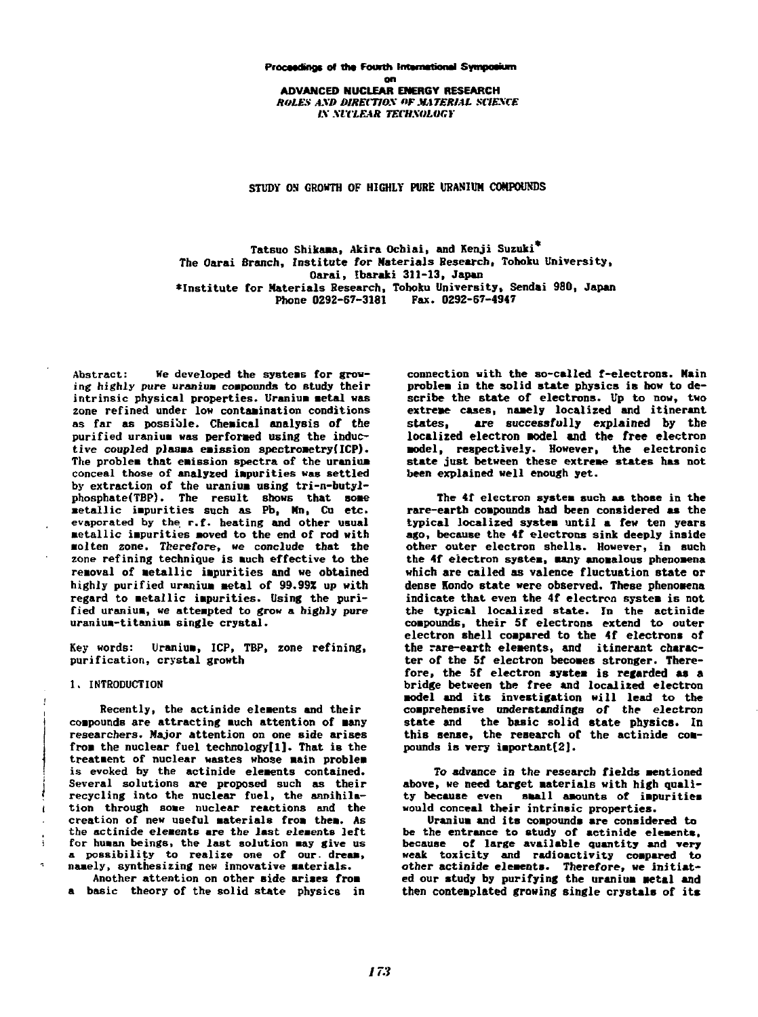STUDY ON GROWTH OF HIGHLY PURE URANIUM COMPOUNDS

Tatsuo Shi**kama,** Akira Ochiai, and Kenji Suzuki<sup>\*</sup> The Oarai Branch, Institute for Materials Research, Tohoku University, 0 arai, Ibaraki 311-13, Japan **Oarai, Ibaraki 311-13, Japan 'Institute for Materials Research, Tohoku University, Sendai 980, Japan**  \*Institute for Materials Research, Toboku University. Sendai 980, Japan Phone 0292-67-3181 Fax. 0292-67-4947

**Abstract: We developed the systeas for grow-**Abstract: lIe developed the systeas for growing highly pure uranium compounds to study their intrinsic physical properties. Uranium metal was zone refined under low contamination conditions as far as possible. Chemical analysis of the purified uranium was performed using the inductive coupled plasma emission spec**trometry(ICP).** The problem that emission spectra of the uranium **conceal those of analyzed impurities was settled**  conceal those of analyzed Ipuritieswas settled by extraction of the uranium using tri-n-butylphosphate(TBP). The result shows that some phosphate(iDr). The result shows that some<br>metallic impurities such as Pb, Mn, Cu etc. evaporated by the r.f. heating and other usual **metallic impurities moved to the end of rod with** molten zone. Therefore, we conclude that the zone refining technique is much effective to the removal of metallic impurities and we obtained highly purified uranium metal of 99.99% up with regard to metallic impurities. Using the puriregard to meddrift impurities. Using the puriuranium-titanium single crystal.

Key words: Uranium, ICP, TBP, zone refining,<br>purification, crystal growth **purification, crystal growth** 

## **1. INTRODUCTION**  1. INTRODUCTION

 $\mathbf{r}$ 

Recently, the actinide elements and their **compounds are attracting much attention of many**  coapounds are attracting uchattention of any researchers. Major attention on one side arises from the nuclear fuel technology<sup>[1]</sup>. That is the treatment of nuclear wastes whose main problem **is evoked by the actinide elements contained.**  is evoked by the actinide eleents contained. **Several solutions are proposed such as their**  Several solutions are proposed sucb as their recycling into the nuclear fuel, the annihilation through some nuclear reactions and the creation of new useful materials from them. As **the actinide elements are the last elements left**  the actinide eleaents are the last eleaents left the actinide elements are the last elements left<br>for human beings, the last solution may give us<br>a possibility to realize one of our. dream, **a possibility to realize one of our. dream, namely, synthesizing new innovative materials.**  naaely, synthesizing new innovative aterials.

Another attention on other side arises from **a basic theory of the solid state physics in**  a basic tbeory of the solid state pbysics in

connection with the so-called f-electrons. Main problem in the solid state physics is how to deproblem in the solita state physics is now to at scribe the state of electrons. Up to now, two extreme cases, namely localized and itinerant **states, are successfully explained by the**  states, are successfully explained by the localized electron model and the free electron model, respectively. However, the electronic **state just between these extreme states has not**  state just between tbese extree states bas not **been explained well enough yet.**  been explained well enough yet.

The 4f electron system such as those in the rare-earth compounds had been considered as the typical localized system until a few ten years **ago, because the 4f electrons sink deeply inside**  ago, becauae the 4f electrons sink deeply inside **other outer electron shells. However, in such**  other outer electron shells. However, in 8uch the 4f electron system, many anomalous phenomena **which are called as valence fluctuation state or**  ichare cal1ed as valence fluctuation state or **dense Hondo state were observed. These phenomena**  dense londo state were observed. These phenoaena indicate that even the 4f electron system is not **the typical localized state. In the actinide**  the typical localized state. In the actinide compounds, their 5f electrons extend to outer electron shell compared to the 4f electrons of the rare-earth elements, and itinerant charac**ter of the 5f electron becomes stronger. There-**ter of tbe 5f electron becoae8 stronger. Therefore, the 5f electron system is regarded as a bridge between the free and localized electron model and its investigation will lead to the **comprehensive understandings of the electron**  coprehen8ive underatandings 0' the electron **state and the basic solid state physics. In**  state and tbe basic solid 8tate pbY8ic8. ln this sense, the research of the actinide compounds is very important[2].

To advance in the research fields mentioned above, we need target materials with high quality because even small amounts of impurities **would conceal their intrinsic properties.**  would conceal their intrin8ic propertie8.

Uranium and its compounds are considered to be the entrance to study of actinide elements, because of large available quantity and very **weak toxicity and radioactivity compared to**  weak toxicity and rdio.ctivity coapared t other actinide elements. Therefore, we initiated our study by purifying the uranium metal and then contemplated growing single crystals of its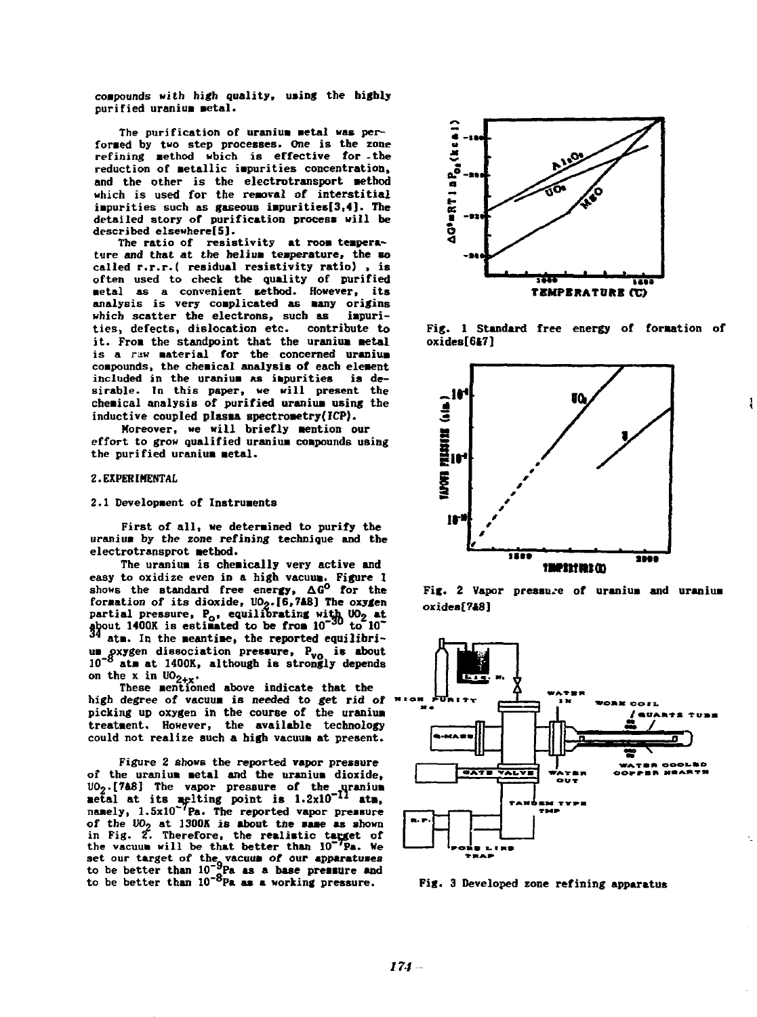**compounds with high quality, using the highly purified uranium metal.**  compounds with high quality, using the highly<br>purified uranium metal.

The purification of uranium metal was performed by two step processes. One is the zone refining method wbich is effective for the reduction of metallic impurities concentration, and the other is the electrotransport method which is used for the removal of interstitial impurities such as gaseous impurities[3,4]. The detailed story of purification process will be **described elsewhere[5).**  described elsewherel5】.

The ratio of resistivity at room temperature and that at the helium temperature, the so called r.r.r.( residual resistivity ratio), is often used to check the quality of purified **metal as a convenient method. However, its** analysis is very complicated as many origins **which scatter the electrons, such as iapuri-**which scatter the electrons. sucb as iapuri**ties, defects, dislocation etc. contribute to**  ties, defects, dislocation etc. contribute t it. From the standpoint that the uranium metal is a raw material for the concerned uranium **coapounds, the cheaical analysis of each eleaent**  coapounds. tbe cbeicalanalysis of eacb eleaent included in the uranium as impurities is de**sirable. In this paper, we will present the**  sirable. In this paper. we will present the chemical analysis of purifi<del>ed</del> uranium using the inductive coupled plasma spectrometry(ICP).

Moreover, we will briefly mention our **effort to grow qualified uranium compounds using** the purified uranium metal.

#### **2. EXPERIMENTAL**  2. EXPERIENTAL

#### 2.1 Development of Instruments

First of all, we determined to purify the **uraniua by the zone refining technique and the**  ur&siu bythe zooe refining tecbnique and tbe electrotransprot method.

The uranium is chemically very active and The uranium is chemically very active and<br>easy to oxidize even in a high vacuum. Figure 1<br>shows the standard free energy,  $\Delta G^O$  for the formation of its dioxide, UO<sub>2</sub>.[6.7A8] The oxygen partial pressure, P<sub>o</sub>, equilibrating with UO<sub>2</sub> at partial pressure, P<sub>o</sub>, equilibrating with UO<sub>2</sub> at **ata. In the aeantiae, the reported equilibriu** at a must be measure, the reported equilibrity and it is about the system dissociation pressure, P<sub>vo\_</sub> is about 10<sup>-8</sup> atm at 1400K, although is strongly depends  $\overline{\text{on}}$  the x in  $\text{U0}_{2+\text{x}}$ .  $\frac{1400 \text{K}}{4}$  is estimated to be from 10<sup>-30</sup> to 10<sup>-3</sup> atm. In the meantime, the reported equilibri-

on the x in UO<sub>2+x</sub>.<br>
These mentioned above indicate that the **high degree of vacuua is needed to get rid of '**  high degree of vacuua is needed to get rid of ...・"picking up oxygen in the course of the uranium **treatment. However, the available technology**  treataent. However, the available technology could not realize such a high vacuum at present.

**Figure 2 shows the reported vapor pressure**  Figure 2 shows the reported vapor pressure Figure 2 shows the reported vapor pressure<br>of the uranium metal and the uranium dioxide, UO<sub>2</sub>.[7&8] The vapor pressure of the uranium<br>metal at its melting point is 1.2x10<sup>-12</sup> atm,<br>namely, 1.5x10<sup>-7</sup>Pa. The reported vapor pressure of the  $UO_2$  at 1300K is about the same as shown<br>in Fig. 2. Therefore, the realistic target of<br>the vacuum will be that better than  $10^{-7}Pa$ . We set our target of the vacuum of our apparatuses<br>to be better than 10<sup>-9</sup>Pa as a base pressure and<br>to be better than 10<sup>-8</sup>Pa as a working pressure. UO<sub>2</sub>.[788] The vapor pressure of the .qranium  $100<sub>2</sub>$ . [788] The vapor pressure of the uranium metal at its melling point is  $1.2 \times 10^{-11}$  atm, namely,  $1.5 \times 10^{-1}$ Pa. The reported vapor pressure of the  $10<sub>2</sub>$  at 1300K is about the same as shown set our target of the vacuum of our apparatuses<br>to be better than 10<sup>-9</sup>Pa as a base pressure and<br>to be better than 10<sup>-8</sup>Pa as a working pressure. Fig. 3 Developed zone refining apparatus



Fig. 1 Standard free energy of formation of **oxides[6t7]**  oxides[6l1]

Į



Fig. 2 Vapor pressure of uranium and uranium **oxides[7\*8]**  oxidea(?A8]



**Fig. 3 Developed zone refining apparatus**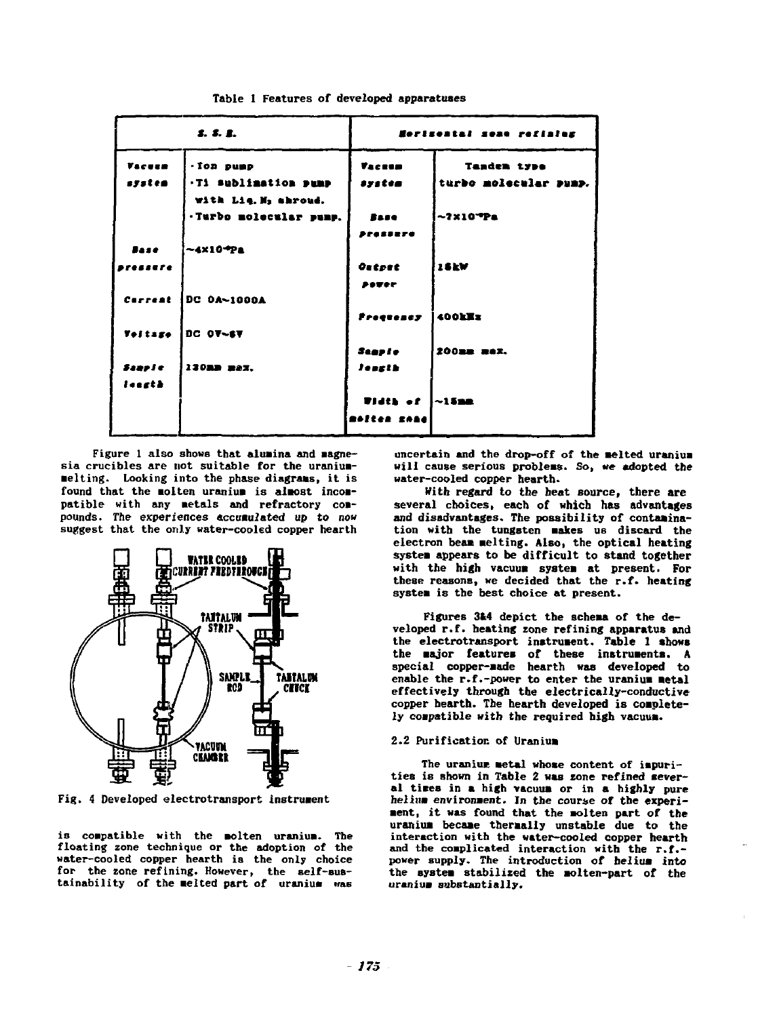|                | S. S. E.               |                                        | Herisontal sene refinier |  |  |
|----------------|------------------------|----------------------------------------|--------------------------|--|--|
| Vacuum         | - Ton pump             | <b><i><u>Tacesa</u></i></b>            | <b>Tanden type</b>       |  |  |
| system         | .Ti sublimation pump   | system                                 | turbo molecular pump.    |  |  |
|                | with Lig. M, shroud.   |                                        |                          |  |  |
|                | .Turbo molecular pump. | Base                                   | $-2x10$ <sup>T</sup> Pa  |  |  |
|                |                        | Pressure                               |                          |  |  |
| <b>Base</b>    | $-4×10-1 Pa$           |                                        |                          |  |  |
| .              |                        | <b>Outpat</b>                          | <b>16kW</b>              |  |  |
|                |                        | POTER                                  |                          |  |  |
| Correat        | DC 0A~1000A            |                                        |                          |  |  |
|                |                        | Frequency                              | 400kEz                   |  |  |
| <b>Voltage</b> | <b>DC 07-67</b>        |                                        |                          |  |  |
|                |                        | Stapie                                 | 200mm max.               |  |  |
| Sample         | 130RD 223.             | leasth                                 |                          |  |  |
| lessth         |                        |                                        |                          |  |  |
|                |                        | <b>Width of <math>\sim</math> 15mm</b> |                          |  |  |
|                |                        | moltan sonal                           |                          |  |  |

**Table 1 Features of developed apparatuses**  Table 1 Features of developed apparatuaes

**Figure 1 also shows that alumina and magne-**<br>
sia crucibles are not suitable for the uraniumsia crucibles are not suitable for the uraniumsia crucibles are not suitable for the uranium-<br>melting. Looking into the phase diagrams, it is found that the molten uranium is almost incompatible with any metals and refractory com-<br>pounds. The experiences accumulated up to now **pounds. The experiences accumulated up to now suggest that the only water-cooled copper hearth**  suggest that the only water-cooled copper hearth



Fig. 4 Developed electrotransport instrument

is compatible with the molten uranium. The<br>floating zone technique or the adoption of the **water-cooled copper hearth is the only choice**  water-cooled copper hearth ia the ooly choice **for the zone refining. However, the self-Bus-**for the zone refining. However, the self-suatainability of the melted part of uranium was **will cause serious problems. So, we adopted the**  will cause serious probleas. 50, we adopted the **water-cooled copper hearth.**  water-cooled copper hearth.

**With regard to the heat source, there are**  Witb regard to the heat source, tbere are **several choices, each of which has advantages**  several choices, each of which has advantages<br>and disadvantages. The possibility of contamina**tion with the tungsten Bakes us discard the**  tion with the tungsten akes us discard the **electron beam Belting. Also, the optical heating**  electron beaa aelting. Also, the optical heating system appears to be difficult to stand together with the high vacuum system at present. For **these reasons, we decided that the r.f. heating**  thesp. reasons, we decided that the r.f. heating system is the best choice at present.

Figures 314 depict the schema of the de**veloped r.f. heating zone refining apparatus and**  $v$ eloped r.f. heating zone refining apparatus and **the electrotransport instrument. Table 1 shows**<br>the electrotransport instrument. Table 1 shows<br>the major features of these instruments. A **the major features of these instruments. A**  special copper-made hearth was developed to enable the r.f.-power to enter the uranium metal **enable the r.f.-power to enter the uraniua metal effectively through the electrically-conductive**  effectively throuh the electrically-conductive copper hearth. The hearth developed is complete-<br>ly compatible with the required high vacuum. **ly compatible with the required high vacuus.** 

# 2.2 Purification of Uranium

The uranium metal whose content of impuri**ties is shown in Table 2 was zone refined sever-**The uranium wetal whose content of impuri-<br>ties is shown in Table 2 was zone refined sever-<br>al times in a high vacuum or in a highly pure helium environment. In the course of the experi**a** and the *a* could be about the could be considered that the **a** solt of the solt of the uranium became thermally unstable due to the interaction with the water-cooled copper hearth and the complicated interaction with the r.f.power supply. The introduction of helium into the system stabilized the molten-part of the uranium substantially. **uranium substantially.**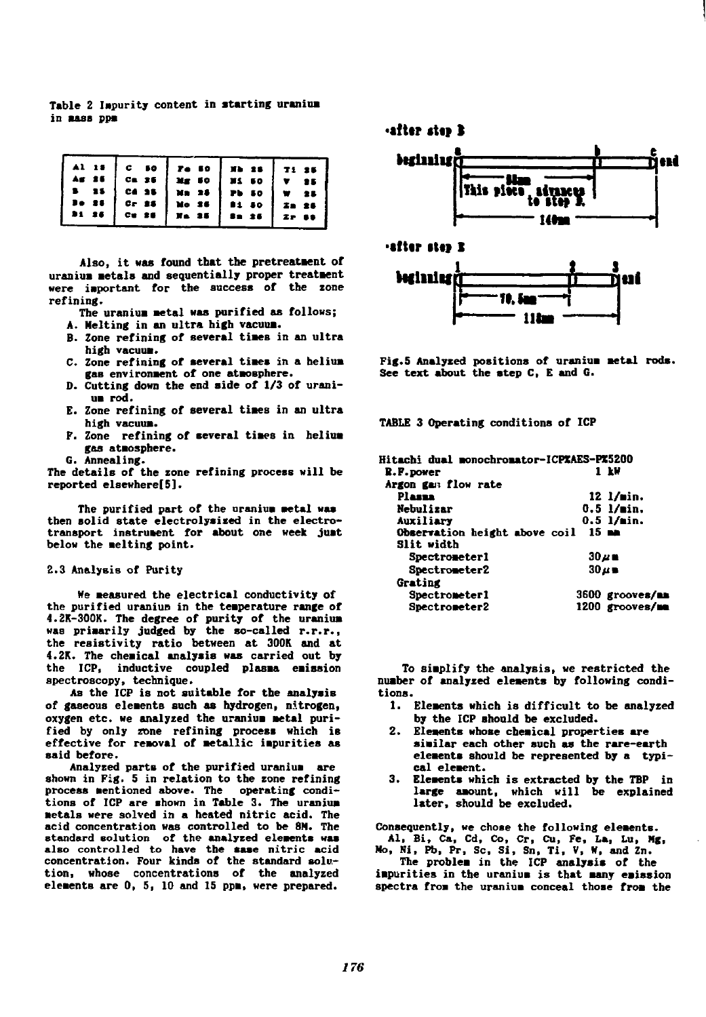Table 2 Impurity content in starting uranium in **aass** ppm

Also, it was found that the pretreatment of Also, it was found that the pretreatment of uranius metals and sequentially proper treatment were important for the success of the zone refinin**g.** 

The uranium metal was purified as follows; Ining.<br>The uranium metal was purified as a<br>A. Melting in an ultra high vacuum.

- 
- n. Herting of several times in an ultra<br> **B.** Zone refining of several times in an ultra<br>
C. Zone refining of several times in a helium **high vacuua.**
- high vacuum.<br>C. Zone refining of several times in a helium gas environment of one atmosphere.
- D. Cutting down the end side of 1/3 of urani**ua rod.**  u rod.
- **E. Zone refining of several tiaes in an ultra**  E. Zone refining of several tiaes in ultra **high vacuua.**  high vacuua.
- **F.** Zone refining of several times in helium **gas ataosphere.**  gas ataosphere.
- **G. Annealing.**  G. Annealing.

The details of the zone refining process will be **reported elsewhere[5].**  reported elsewhere[5].

The purified part of the uranium metal was then solid state electrolysized in the electrotransport instrument for about one week just below the melting point.

#### **2.3 Analysis of Purity**  2.3 Analysis of Purity

**We measured the electrical conductivity of** the purified uraniup in the temperature range of **4.2K-300K. The degree of purity of the uranium** was primarily judged by the so-called r.r.r., the resistivity ratio between at 300K and at 4.2K. The chemical analysis was carried out by the ICP, inductive coupled plasma emission **spectroscopy, technique.**  spectroscopy, technique.

As the ICP is not suitable for the analysis As the ICP is not suitable for the analysis<br>of gaseous elements such as hydrogen, nitrogen, of gaseous elements such as hydrogen, nitrogen,<br>oxygen etc. we analyzed the uraniu**m metal** purified by only zone refining process which is effective for removal of metallic impurities as **said before.**  said before.

**Analyzed parts of the purified uraniua are**  Analyzed parts of the purified uranium are shown in Fig. 5 in relation to the zone refining **process mentioned above above the process mentioned above. The operating condi**tions of ICP are shown in Table 3. The uranium **metals were solved in a heated nitric acid. The acid concentration was controlled to be 8H. The**  acid concentration IIas control1ed to be 8M. The standard solution of the analyzed elements was **also controlled to have the saae nitric acid concentration. Four kinds of the standard solu**tion, Whose concentrations of the analyzed<br>elements are 0, 5, 10 and 15 ppm, were prepared. elements are 0, 5, 10 and 15 ppm, were prepared. also controlled to have the sase nitric acid<br>concentration. Four kinds of the standard solu**•tfttr** *tltt* **1** 



Fig.5 Analyzed positions of uranium metal rods. **See text about the step C, E and G.**  See text about the atep C, E and G.

TABLE 3 Operating conditions of ICP

| Hitachi dual monochromator-ICP%AES-P%5200 |                      |
|-------------------------------------------|----------------------|
| R.F.power                                 | 1 kW                 |
| Argon gan flow rate                       |                      |
| Plassa                                    | $12 \frac{1}{min}$ . |
| Nebulizar                                 | $0.5$ $1/\min$ .     |
| Auxiliary                                 | $0.5$ l/min.         |
| Observation height above coil             | 15m                  |
| Slit width                                |                      |
| Spectrometer1                             | $30\mu$ m            |
| Spectrometer2                             | $30 \mu$ m           |
| Grating                                   |                      |
| Spectrometer1                             | 3600 grooves/mm      |
| Spectrometer2                             | 1200 grooves/mm      |
|                                           |                      |

To simplify the analysis, we restricted the number of analyzed elements by following condi**tions.**  tions.

- **1. Elements which is difficult to be analyzed** by the ICP should be excluded. **by the ICP should be excluded.**
- 2. Elements whose chemical properties are **aiailar each other such as the rare-earth**  aiilareach other such therare-earth eleentsshould be represented b, a typi**eleaents should be represented by a typical eleaent.**  cal eleent.
- 3. Elements which is extracted by the TBP in **large aaount, which will be explained**  large aaount, whicb IIill be explained **later, should be excluded.**  later, should be excluded.

Consequently, we chose the following elements. **Al, Bi, Ca, Cd, Co, Cr, Cu, Fe, La, Lu, Ng, Ho, Ni, Pb, Pr, Sc, Si, Sn, Ti, V, N°, and Zn.**  Al, Bi, Ca,Cd. Co, Cr, Cu, Fe, La, Lu, MC, Mo. Ni, Pb,Pr, 5c, Si, 5n, Ti, V, W,回dZn.

The problem in the ICP analysis of the

impurities in the uranium is that many emission spectra from the uranium conceal those from the **spectra froa the uraniua conceal those froa the**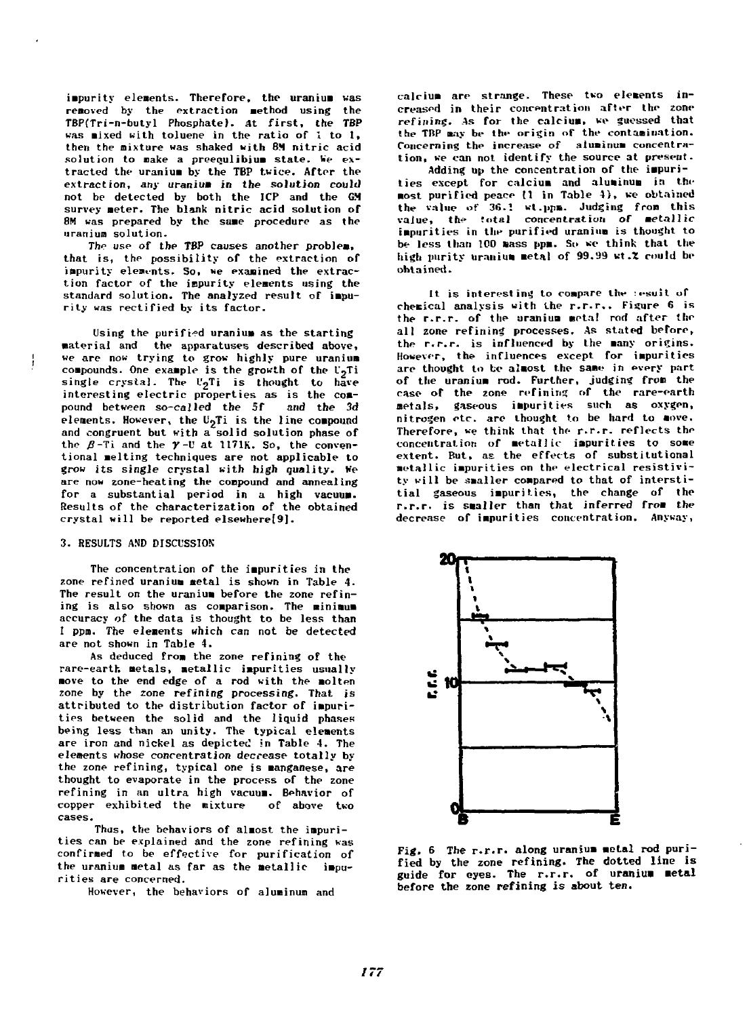**impurity elements. Therefore, the uranium was removed by the extraction Method using the**  re.oved by the exlraction .ethod using the TBP(Tri-n-butyl Phosphate). At first, the TBP was mixed with toluene in the ratio of 1 to 1, **then the mixture was shaked with BH nitric acid**  theh the mixture was shaked with B~ nitric acid solution to make a preequlibium state. We extracted the uranium by the TBP twice. After the extraction, any uranium in the solution could not be detected by both the ICP and the G.M survey meter. The blank nitric acid solution of 8M was prepared by the same procedure as the **uranium solution.**  uranium solution.

The use of the TBP causes another problem, that is, the possibility of the extraction of impurity elements. So, we examined the extraction factor of the impurity elements using the standard solution. The analyzed result of impu**rity was rectified by its factor.**  rity was rectified by its factor.

Using the purified uranium as the starting **aateriai and the apparatuses described above,**  .aterial and the apparatuses described above. we are now trying to grow highly pure uranium compounds. One example is the growth of the U<sub>2</sub>Ti **compounds. Une example is the growth of the U<sub>2</sub>Ti<br>single crystal. The U<sub>2</sub>Ti is thought to have** single crystal. The U<sub>2</sub>Ti is thought to have<br>interesting electric properties as is the compound between so-called the 5f and the 3d elements. However, the U<sub>9</sub>Ti is the line compound **and congruent but with a solid solution phase of**  and congruent but with a-solid solution phase of the β-Ti and the *y*-U at 1171K. So, the conventional melting techniques are not applicable to **grow its single crystal with high quality. Ke**  grow its single crystal with high quality. We<br>are now zone-heating the compound and annealing **for a substantial period in a high vacuum.**  for a substantial period in a bigh vacuu.. **Results of the characterization of the obtained**  Results of the characterization of the obtained crystal will be reported elsewhere[9]. and the 3d

## **3. RESULTS AND DISCUSSION**

**The concentration of the impurities in the**  The concentration of the purities in the zone refined uranium metal is shown in Table 4. The result on the uranium before the zone refin**ing is also shown as comparison. The miniaua**  ing is also shown as comparison. The minimum<br>accuracy of the data is thought to be less than **I ppm. The elements which can not be detected**  1 ppm. The eleents which can not be detected **are not shown in Table 4.**  are not shown in Tahle 4.

As deduced from the zone refining of the **rational incompose of the soft in the zone refining of the rare-earth. metals, metallic impurities usually move to the end edge of a rod with the molten zone by the zone refining processing. That is**  zone by the zone refining processing. That is attributed to the distribution factor of impurities between the solid and the liquid phases being less than an unity. The typical elements are iron and nickel as depicted in Table 4. The **elements whose concentration decrease totally by**  elements whose concentration deccease totally by the zone refining, typical one is manganese, are thought to evaporate in the process of the zone **refining in an ultra high vacuum.** Behavior of  $\mathbf{r}$  refining in an ultra high vacuum. Behavior of copper exhibited the mixture of above two cases.

Thus, the behaviors of almost the impurities can be explained and the zone refining was **cies can be exprained and the zone reliming was** confirmed to be effective for purification of confirmed to be effective for purification of<br>the uranium metal as far as the metallic impurities are concerned.

However, the behaviors of aluminum and

calcium are strange. These two elements increased in their concentration after the zone refining. As for the calcium, we guessed that the TBP may be the origin of the contamination. Concerning the increase of aluminum concentration, we can not identify the source at present.

**Adding up the concentration of the impurities except for calcium and aluminum in the most purified peace (1 in Table 4), we obtained** the value of 36.1 wt.ppm. Judging from this **value, the total concentration of metallic impurities in the purified uranium is thought to be less than 100 mass ppm.** So se think that the less than 100 mass ppm. So se think that the high purity uranium metal of 99.99 wt*.*% could be **obtained.**  ohlained.

It is interesting to compare the **:esuit of** chemical analysis with the r.r.r.. Figure 6 is **the rightly result in the rightly result is the rightly that it is the rightly result is the** <br>the rightly result in the uranium words red after the all zone refining processes. As stated before, the r.r.r. is influenced by the many origins. However, the influences except for impurities are thought to be almost the same in every part of the uranium rod. Further, judging from the case of the zone refining of the rare-earth metals, gaseous impurities such as oxygen,<br>nitrogen etc. are thought to be hard to move. **nitrogen etc. are thought to be hard to move.**  Therefore, we think that the r.r.r. reflects the concentration of metallic impurities to some extent. But, as the effects of substitutional **metallic impurities on the electrical resisti¥i**ty will be smaller compared to that of interstitial gaseous impurities, the change of the r.r.r. is smaller than that inferred from the decrease of impurities concentration. Anyway,



Fig. 6 The r.r.r. along uranium metal rod puri**fied by the zone refining. The dotted line is guide for eyes. The r.r.r. of uraniua aetal before the zone refining is about ten.**  fied by the zone refining. The dotted line is<br>guide for eyes. The r.r.r. of uranium metal before the zone refining is about ten,<br> $177$